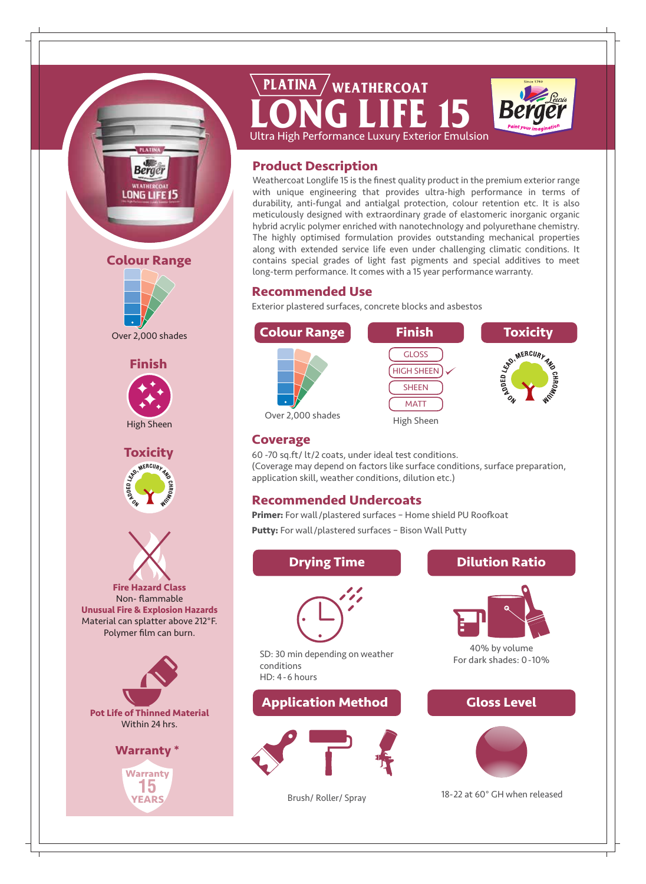

# **LONG LIFE 15** Ultra High Performance Luxury Exterior Emulsion **PLATINA WEATHERCOAT**



**Product Description**

Weathercoat Longlife 15 is the finest quality product in the premium exterior range with unique engineering that provides ultra-high performance in terms of durability, anti-fungal and antialgal protection, colour retention etc. It is also meticulously designed with extraordinary grade of elastomeric inorganic organic hybrid acrylic polymer enriched with nanotechnology and polyurethane chemistry. The highly optimised formulation provides outstanding mechanical properties along with extended service life even under challenging climatic conditions. It contains special grades of light fast pigments and special additives to meet long-term performance. It comes with a 15 year performance warranty.

# **Recommended Use**

Exterior plastered surfaces, concrete blocks and asbestos



## **Coverage**

60 -70 sq.ft/ lt/2 coats, under ideal test conditions. (Coverage may depend on factors like surface conditions, surface preparation, application skill, weather conditions, dilution etc.)

# **Recommended Undercoats**

**Primer:** For wall/plastered surfaces – Home shield PU Roofkoat **Putty:** For wall/plastered surfaces – Bison Wall Putty